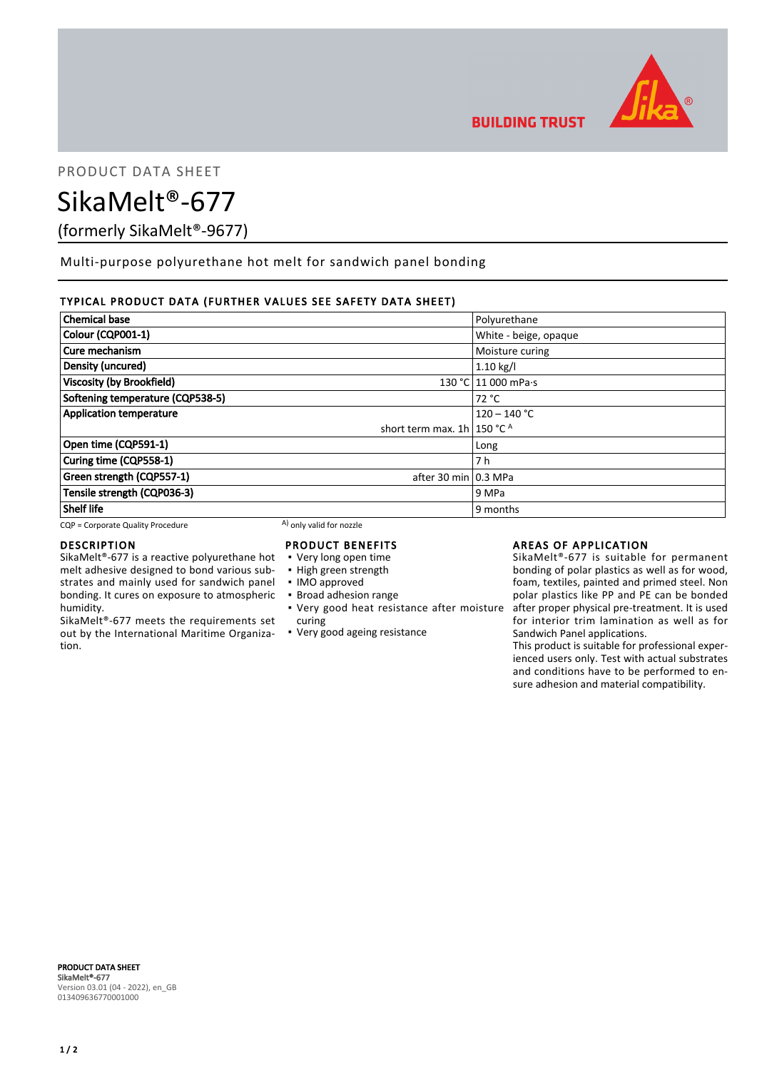

PRODUCT DATA SHEET

SikaMelt®-677

(formerly SikaMelt®-9677)

Multi-purpose polyurethane hot melt for sandwich panel bonding

# TYPICAL PRODUCT DATA (FURTHER VALUES SEE SAFETY DATA SHEET)

| <b>Chemical base</b>              |                                         | Polyurethane          |
|-----------------------------------|-----------------------------------------|-----------------------|
| Colour (CQP001-1)                 |                                         | White - beige, opaque |
| Cure mechanism                    |                                         | Moisture curing       |
| Density (uncured)                 |                                         | $1.10$ kg/l           |
| <b>Viscosity (by Brookfield)</b>  |                                         | 130 °C 11 000 mPa.s   |
| Softening temperature (CQP538-5)  |                                         | 72 °C                 |
| <b>Application temperature</b>    |                                         | $120 - 140 °C$        |
|                                   | short term max. 1h   150 $^{\circ}$ C A |                       |
| Open time (CQP591-1)              |                                         | Long                  |
| Curing time (CQP558-1)            |                                         | 7 h                   |
| Green strength (CQP557-1)         | after 30 min 0.3 MPa                    |                       |
| Tensile strength (CQP036-3)       |                                         | 9 MPa                 |
| <b>Shelf life</b>                 |                                         | 9 months              |
| CQP = Corporate Quality Procedure | A) only valid for nozzle                |                       |

# DESCRIPTION

SikaMelt®-677 is a reactive polyurethane hot melt adhesive designed to bond various substrates and mainly used for sandwich panel bonding. It cures on exposure to atmospheric humidity.

SikaMelt®-677 meets the requirements set out by the International Maritime Organization.

# PRODUCT BENEFITS

- Very long open time
- High green strength
- IMO approved
- Broad adhesion range
- Very good heat resistance after moisture curing
- Very good ageing resistance

# AREAS OF APPLICATION

SikaMelt®-677 is suitable for permanent bonding of polar plastics as well as for wood, foam, textiles, painted and primed steel. Non polar plastics like PP and PE can be bonded after proper physical pre-treatment. It is used for interior trim lamination as well as for Sandwich Panel applications.

This product is suitable for professional experienced users only. Test with actual substrates and conditions have to be performed to ensure adhesion and material compatibility.